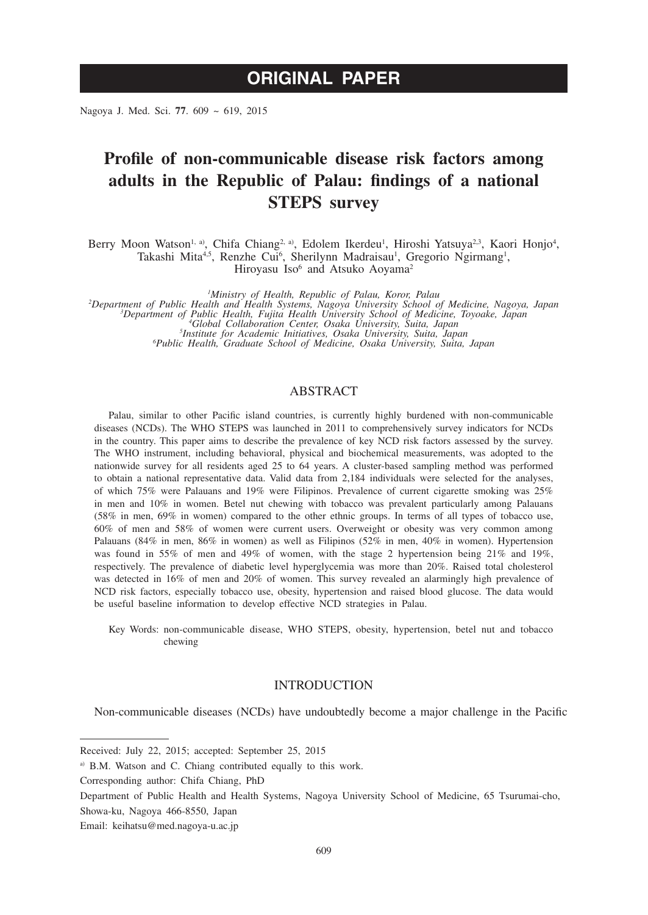# **ORIGINAL PAPER**

Nagoya J. Med. Sci. **77**. 609 ~ 619, 2015

## **Profile of non-communicable disease risk factors among adults in the Republic of Palau: findings of a national STEPS survey**

Berry Moon Watson<sup>1, a)</sup>, Chifa Chiang<sup>2, a)</sup>, Edolem Ikerdeu<sup>1</sup>, Hiroshi Yatsuya<sup>2,3</sup>, Kaori Honjo<sup>4</sup>, Takashi Mita<sup>4,5</sup>, Renzhe Cui<sup>6</sup>, Sherilynn Madraisau<sup>1</sup>, Gregorio Ngirmang<sup>1</sup>, Hiroyasu Iso<sup>6</sup> and Atsuko Aoyama<sup>2</sup>

<sup>1</sup>Ministry of Health, Republic of Palau, Koror, Palau

<sup>1</sup>Ministry of Health, Republic of Palau, Koror, Palau<br>
<sup>1</sup>Department of Public Health and Health Systems, Nagoya University School of Medicine, Nagoya, Japan<sup>3</sup><br>
<sup>3</sup>Department of Public Health, Fujita Health University Sc *Public Health, Graduate School of Medicine, Osaka University, Suita, Japan*

#### ABSTRACT

Palau, similar to other Pacific island countries, is currently highly burdened with non-communicable diseases (NCDs). The WHO STEPS was launched in 2011 to comprehensively survey indicators for NCDs in the country. This paper aims to describe the prevalence of key NCD risk factors assessed by the survey. The WHO instrument, including behavioral, physical and biochemical measurements, was adopted to the nationwide survey for all residents aged 25 to 64 years. A cluster-based sampling method was performed to obtain a national representative data. Valid data from 2,184 individuals were selected for the analyses, of which 75% were Palauans and 19% were Filipinos. Prevalence of current cigarette smoking was 25% in men and 10% in women. Betel nut chewing with tobacco was prevalent particularly among Palauans (58% in men, 69% in women) compared to the other ethnic groups. In terms of all types of tobacco use, 60% of men and 58% of women were current users. Overweight or obesity was very common among Palauans (84% in men, 86% in women) as well as Filipinos (52% in men, 40% in women). Hypertension was found in 55% of men and 49% of women, with the stage 2 hypertension being 21% and 19%, respectively. The prevalence of diabetic level hyperglycemia was more than 20%. Raised total cholesterol was detected in 16% of men and 20% of women. This survey revealed an alarmingly high prevalence of NCD risk factors, especially tobacco use, obesity, hypertension and raised blood glucose. The data would be useful baseline information to develop effective NCD strategies in Palau.

Key Words: non-communicable disease, WHO STEPS, obesity, hypertension, betel nut and tobacco chewing

### **INTRODUCTION**

Non-communicable diseases (NCDs) have undoubtedly become a major challenge in the Pacific

Received: July 22, 2015; accepted: September 25, 2015

a) B.M. Watson and C. Chiang contributed equally to this work.

Corresponding author: Chifa Chiang, PhD

Department of Public Health and Health Systems, Nagoya University School of Medicine, 65 Tsurumai-cho, Showa-ku, Nagoya 466-8550, Japan

Email: keihatsu@med.nagoya-u.ac.jp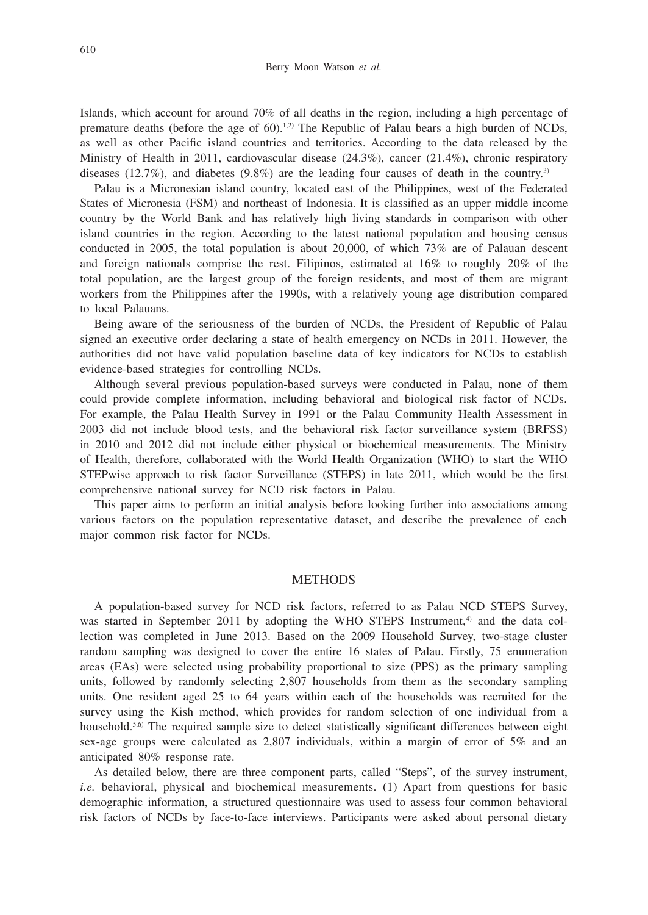Islands, which account for around 70% of all deaths in the region, including a high percentage of premature deaths (before the age of  $60$ ).<sup>1,2)</sup> The Republic of Palau bears a high burden of NCDs, as well as other Pacific island countries and territories. According to the data released by the Ministry of Health in 2011, cardiovascular disease (24.3%), cancer (21.4%), chronic respiratory diseases (12.7%), and diabetes (9.8%) are the leading four causes of death in the country.<sup>3)</sup>

Palau is a Micronesian island country, located east of the Philippines, west of the Federated States of Micronesia (FSM) and northeast of Indonesia. It is classified as an upper middle income country by the World Bank and has relatively high living standards in comparison with other island countries in the region. According to the latest national population and housing census conducted in 2005, the total population is about 20,000, of which 73% are of Palauan descent and foreign nationals comprise the rest. Filipinos, estimated at 16% to roughly 20% of the total population, are the largest group of the foreign residents, and most of them are migrant workers from the Philippines after the 1990s, with a relatively young age distribution compared to local Palauans.

Being aware of the seriousness of the burden of NCDs, the President of Republic of Palau signed an executive order declaring a state of health emergency on NCDs in 2011. However, the authorities did not have valid population baseline data of key indicators for NCDs to establish evidence-based strategies for controlling NCDs.

Although several previous population-based surveys were conducted in Palau, none of them could provide complete information, including behavioral and biological risk factor of NCDs. For example, the Palau Health Survey in 1991 or the Palau Community Health Assessment in 2003 did not include blood tests, and the behavioral risk factor surveillance system (BRFSS) in 2010 and 2012 did not include either physical or biochemical measurements. The Ministry of Health, therefore, collaborated with the World Health Organization (WHO) to start the WHO STEPwise approach to risk factor Surveillance (STEPS) in late 2011, which would be the first comprehensive national survey for NCD risk factors in Palau.

This paper aims to perform an initial analysis before looking further into associations among various factors on the population representative dataset, and describe the prevalence of each major common risk factor for NCDs.

#### **METHODS**

A population-based survey for NCD risk factors, referred to as Palau NCD STEPS Survey, was started in September 2011 by adopting the WHO STEPS Instrument, $4$  and the data collection was completed in June 2013. Based on the 2009 Household Survey, two-stage cluster random sampling was designed to cover the entire 16 states of Palau. Firstly, 75 enumeration areas (EAs) were selected using probability proportional to size (PPS) as the primary sampling units, followed by randomly selecting 2,807 households from them as the secondary sampling units. One resident aged 25 to 64 years within each of the households was recruited for the survey using the Kish method, which provides for random selection of one individual from a household.<sup>5,6)</sup> The required sample size to detect statistically significant differences between eight sex-age groups were calculated as 2,807 individuals, within a margin of error of 5% and an anticipated 80% response rate.

As detailed below, there are three component parts, called "Steps", of the survey instrument, *i.e.* behavioral, physical and biochemical measurements. (1) Apart from questions for basic demographic information, a structured questionnaire was used to assess four common behavioral risk factors of NCDs by face-to-face interviews. Participants were asked about personal dietary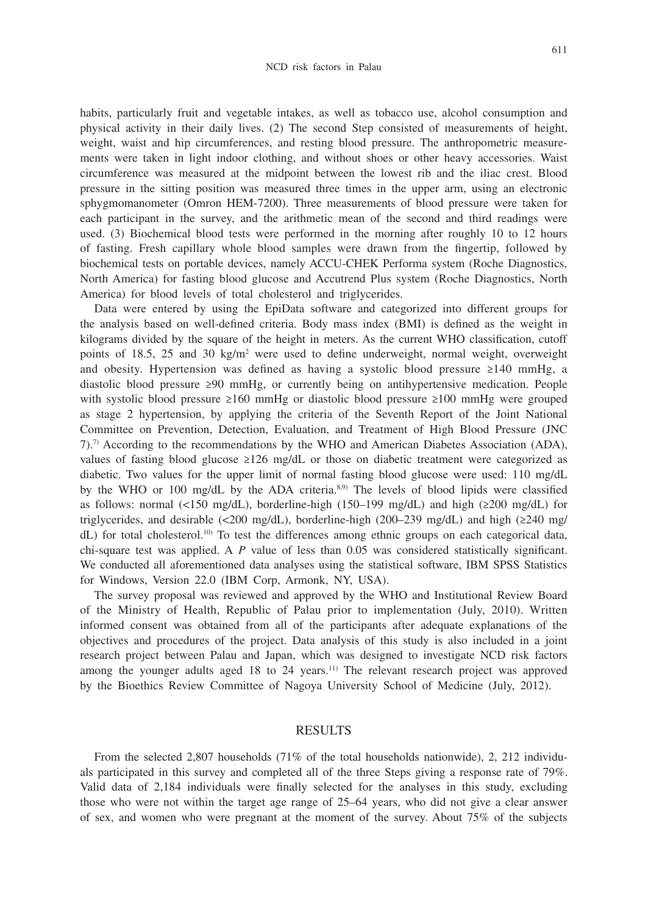611

habits, particularly fruit and vegetable intakes, as well as tobacco use, alcohol consumption and physical activity in their daily lives. (2) The second Step consisted of measurements of height, weight, waist and hip circumferences, and resting blood pressure. The anthropometric measurements were taken in light indoor clothing, and without shoes or other heavy accessories. Waist circumference was measured at the midpoint between the lowest rib and the iliac crest. Blood pressure in the sitting position was measured three times in the upper arm, using an electronic sphygmomanometer (Omron HEM-7200). Three measurements of blood pressure were taken for each participant in the survey, and the arithmetic mean of the second and third readings were used. (3) Biochemical blood tests were performed in the morning after roughly 10 to 12 hours of fasting. Fresh capillary whole blood samples were drawn from the fingertip, followed by biochemical tests on portable devices, namely ACCU-CHEK Performa system (Roche Diagnostics, North America) for fasting blood glucose and Accutrend Plus system (Roche Diagnostics, North America) for blood levels of total cholesterol and triglycerides.

Data were entered by using the EpiData software and categorized into different groups for the analysis based on well-defined criteria. Body mass index (BMI) is defined as the weight in kilograms divided by the square of the height in meters. As the current WHO classification, cutoff points of 18.5, 25 and 30 kg/m2 were used to define underweight, normal weight, overweight and obesity. Hypertension was defined as having a systolic blood pressure ≥140 mmHg, a diastolic blood pressure ≥90 mmHg, or currently being on antihypertensive medication. People with systolic blood pressure ≥160 mmHg or diastolic blood pressure ≥100 mmHg were grouped as stage 2 hypertension, by applying the criteria of the Seventh Report of the Joint National Committee on Prevention, Detection, Evaluation, and Treatment of High Blood Pressure (JNC 7).7) According to the recommendations by the WHO and American Diabetes Association (ADA), values of fasting blood glucose ≥126 mg/dL or those on diabetic treatment were categorized as diabetic. Two values for the upper limit of normal fasting blood glucose were used: 110 mg/dL by the WHO or 100 mg/dL by the ADA criteria.<sup>8,9)</sup> The levels of blood lipids were classified as follows: normal (<150 mg/dL), borderline-high (150–199 mg/dL) and high ( $\geq 200 \text{ mg/dL}$ ) for triglycerides, and desirable (<200 mg/dL), borderline-high (200–239 mg/dL) and high ( $\geq$ 240 mg/ dL) for total cholesterol.<sup>10)</sup> To test the differences among ethnic groups on each categorical data, chi-square test was applied. A *P* value of less than 0.05 was considered statistically significant. We conducted all aforementioned data analyses using the statistical software, IBM SPSS Statistics for Windows, Version 22.0 (IBM Corp, Armonk, NY, USA).

The survey proposal was reviewed and approved by the WHO and Institutional Review Board of the Ministry of Health, Republic of Palau prior to implementation (July, 2010). Written informed consent was obtained from all of the participants after adequate explanations of the objectives and procedures of the project. Data analysis of this study is also included in a joint research project between Palau and Japan, which was designed to investigate NCD risk factors among the younger adults aged 18 to 24 years.<sup>11)</sup> The relevant research project was approved by the Bioethics Review Committee of Nagoya University School of Medicine (July, 2012).

#### RESULTS

From the selected 2,807 households (71% of the total households nationwide), 2, 212 individuals participated in this survey and completed all of the three Steps giving a response rate of 79%. Valid data of 2,184 individuals were finally selected for the analyses in this study, excluding those who were not within the target age range of 25–64 years, who did not give a clear answer of sex, and women who were pregnant at the moment of the survey. About 75% of the subjects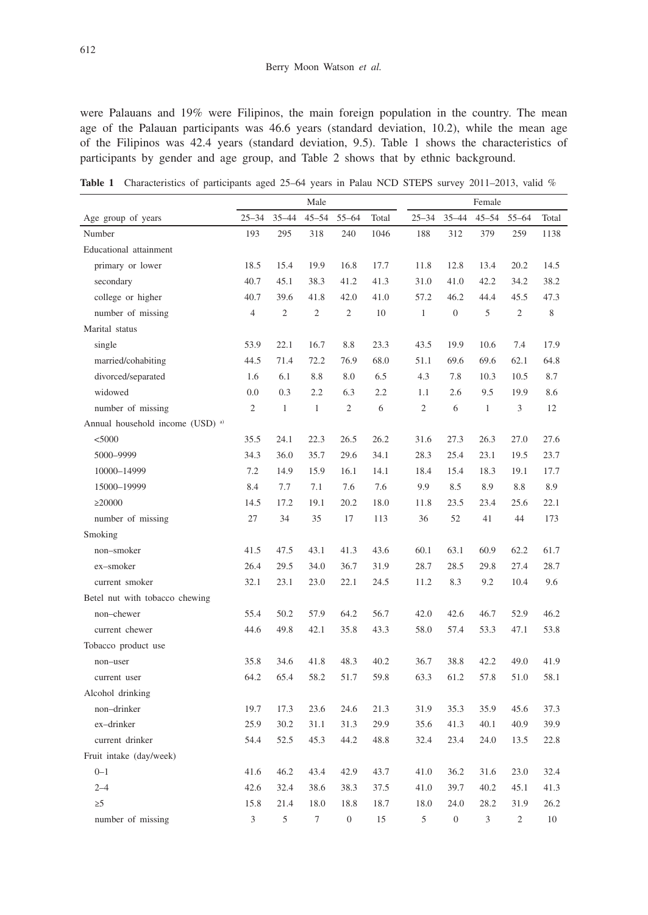were Palauans and 19% were Filipinos, the main foreign population in the country. The mean age of the Palauan participants was 46.6 years (standard deviation, 10.2), while the mean age of the Filipinos was 42.4 years (standard deviation, 9.5). Table 1 shows the characteristics of participants by gender and age group, and Table 2 shows that by ethnic background.

Table 1 Characteristics of participants aged 25–64 years in Palau NCD STEPS survey 2011–2013, valid %

|                                             | Male           |                |                |                |       | Female         |                |              |                |       |  |
|---------------------------------------------|----------------|----------------|----------------|----------------|-------|----------------|----------------|--------------|----------------|-------|--|
| Age group of years                          | $25 - 34$      | $35 - 44$      | $45 - 54$      | 55-64          | Total | $25 - 34$      | $35 - 44$      | $45 - 54$    | $55 - 64$      | Total |  |
| Number                                      | 193            | 295            | 318            | 240            | 1046  | 188            | 312            | 379          | 259            | 1138  |  |
| Educational attainment                      |                |                |                |                |       |                |                |              |                |       |  |
| primary or lower                            | 18.5           | 15.4           | 19.9           | 16.8           | 17.7  | 11.8           | 12.8           | 13.4         | 20.2           | 14.5  |  |
| secondary                                   | 40.7           | 45.1           | 38.3           | 41.2           | 41.3  | 31.0           | 41.0           | 42.2         | 34.2           | 38.2  |  |
| college or higher                           | 40.7           | 39.6           | 41.8           | 42.0           | 41.0  | 57.2           | 46.2           | 44.4         | 45.5           | 47.3  |  |
| number of missing                           | $\overline{4}$ | $\overline{2}$ | $\overline{2}$ | $\overline{2}$ | 10    | $\mathbf{1}$   | $\overline{0}$ | 5            | $\overline{2}$ | 8     |  |
| Marital status                              |                |                |                |                |       |                |                |              |                |       |  |
| single                                      | 53.9           | 22.1           | 16.7           | 8.8            | 23.3  | 43.5           | 19.9           | 10.6         | 7.4            | 17.9  |  |
| married/cohabiting                          | 44.5           | 71.4           | 72.2           | 76.9           | 68.0  | 51.1           | 69.6           | 69.6         | 62.1           | 64.8  |  |
| divorced/separated                          | 1.6            | 6.1            | 8.8            | 8.0            | 6.5   | 4.3            | 7.8            | 10.3         | 10.5           | 8.7   |  |
| widowed                                     | 0.0            | 0.3            | 2.2            | 6.3            | 2.2   | 1.1            | 2.6            | 9.5          | 19.9           | 8.6   |  |
| number of missing                           | $\mathfrak{2}$ | $\mathbf{1}$   | $\mathbf{1}$   | $\mathfrak{2}$ | 6     | $\mathfrak{2}$ | 6              | $\mathbf{1}$ | 3              | 12    |  |
| Annual household income (USD) <sup>a)</sup> |                |                |                |                |       |                |                |              |                |       |  |
| $<$ 5000                                    | 35.5           | 24.1           | 22.3           | 26.5           | 26.2  | 31.6           | 27.3           | 26.3         | 27.0           | 27.6  |  |
| 5000-9999                                   | 34.3           | 36.0           | 35.7           | 29.6           | 34.1  | 28.3           | 25.4           | 23.1         | 19.5           | 23.7  |  |
| 10000-14999                                 | 7.2            | 14.9           | 15.9           | 16.1           | 14.1  | 18.4           | 15.4           | 18.3         | 19.1           | 17.7  |  |
| 15000-19999                                 | 8.4            | 7.7            | 7.1            | 7.6            | 7.6   | 9.9            | 8.5            | 8.9          | 8.8            | 8.9   |  |
| $\geq$ 20000                                | 14.5           | 17.2           | 19.1           | 20.2           | 18.0  | 11.8           | 23.5           | 23.4         | 25.6           | 22.1  |  |
| number of missing                           | 27             | 34             | 35             | 17             | 113   | 36             | 52             | 41           | 44             | 173   |  |
| Smoking                                     |                |                |                |                |       |                |                |              |                |       |  |
| non-smoker                                  | 41.5           | 47.5           | 43.1           | 41.3           | 43.6  | 60.1           | 63.1           | 60.9         | 62.2           | 61.7  |  |
| ex-smoker                                   | 26.4           | 29.5           | 34.0           | 36.7           | 31.9  | 28.7           | 28.5           | 29.8         | 27.4           | 28.7  |  |
| current smoker                              | 32.1           | 23.1           | 23.0           | 22.1           | 24.5  | 11.2           | 8.3            | 9.2          | 10.4           | 9.6   |  |
| Betel nut with tobacco chewing              |                |                |                |                |       |                |                |              |                |       |  |
| non-chewer                                  | 55.4           | 50.2           | 57.9           | 64.2           | 56.7  | 42.0           | 42.6           | 46.7         | 52.9           | 46.2  |  |
| current chewer                              | 44.6           | 49.8           | 42.1           | 35.8           | 43.3  | 58.0           | 57.4           | 53.3         | 47.1           | 53.8  |  |
| Tobacco product use                         |                |                |                |                |       |                |                |              |                |       |  |
| non-user                                    | 35.8           | 34.6           | 41.8           | 48.3           | 40.2  | 36.7           | 38.8           | 42.2         | 49.0           | 41.9  |  |
| current user                                | 64.2           | 65.4           | 58.2           | 51.7           | 59.8  | 63.3           | 61.2           | 57.8         | 51.0           | 58.1  |  |
| Alcohol drinking                            |                |                |                |                |       |                |                |              |                |       |  |
| non-drinker                                 | 19.7           | 17.3           | 23.6           | 24.6           | 21.3  | 31.9           | 35.3           | 35.9         | 45.6           | 37.3  |  |
| ex-drinker                                  | 25.9           | 30.2           | 31.1           | 31.3           | 29.9  | 35.6           | 41.3           | 40.1         | 40.9           | 39.9  |  |
| current drinker                             | 54.4           | 52.5           | 45.3           | 44.2           | 48.8  | 32.4           | 23.4           | 24.0         | 13.5           | 22.8  |  |
| Fruit intake (day/week)                     |                |                |                |                |       |                |                |              |                |       |  |
| $0 - 1$                                     | 41.6           | 46.2           | 43.4           | 42.9           | 43.7  | 41.0           | 36.2           | 31.6         | 23.0           | 32.4  |  |
| $2 - 4$                                     | 42.6           | 32.4           | 38.6           | 38.3           | 37.5  | 41.0           | 39.7           | 40.2         | 45.1           | 41.3  |  |
| $\geq 5$                                    | 15.8           | 21.4           | 18.0           | 18.8           | 18.7  | 18.0           | 24.0           | 28.2         | 31.9           | 26.2  |  |
| number of missing                           | 3              | 5              | $\overline{7}$ | $\overline{0}$ | 15    | 5              | $\overline{0}$ | 3            | $\overline{2}$ | 10    |  |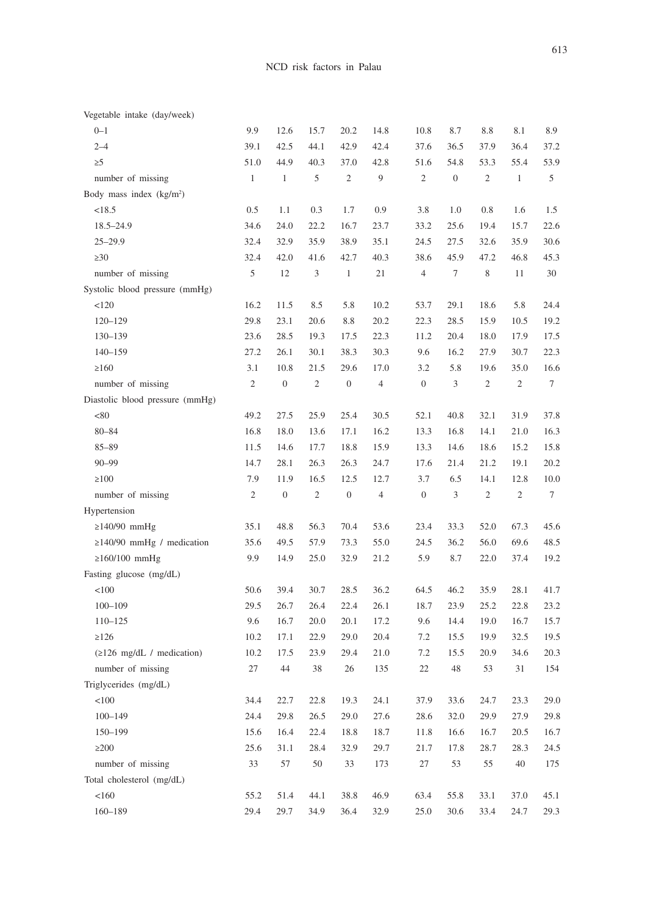| Vegetable intake (day/week)                |                |                  |              |                  |                |                  |                  |                |                |                  |
|--------------------------------------------|----------------|------------------|--------------|------------------|----------------|------------------|------------------|----------------|----------------|------------------|
| $0 - 1$                                    | 9.9            | 12.6             | 15.7         | 20.2             | 14.8           | 10.8             | 8.7              | 8.8            | 8.1            | 8.9              |
| $2 - 4$                                    | 39.1           | 42.5             | 44.1         | 42.9             | 42.4           | 37.6             | 36.5             | 37.9           | 36.4           | 37.2             |
| $\geq 5$                                   | 51.0           | 44.9             | 40.3         | 37.0             | 42.8           | 51.6             | 54.8             | 53.3           | 55.4           | 53.9             |
| number of missing                          | $\mathbf{1}$   | $\mathbf{1}$     | 5            | $\overline{c}$   | 9              | $\mathfrak{2}$   | $\boldsymbol{0}$ | $\mathbf{2}$   | $\mathbf{1}$   | 5                |
| Body mass index $(kg/m2)$                  |                |                  |              |                  |                |                  |                  |                |                |                  |
| <18.5                                      | 0.5            | 1.1              | 0.3          | 1.7              | 0.9            | 3.8              | 1.0              | 0.8            | 1.6            | 1.5              |
| $18.5 - 24.9$                              | 34.6           | 24.0             | 22.2         | 16.7             | 23.7           | 33.2             | 25.6             | 19.4           | 15.7           | 22.6             |
| $25 - 29.9$                                | 32.4           | 32.9             | 35.9         | 38.9             | 35.1           | 24.5             | 27.5             | 32.6           | 35.9           | 30.6             |
| $\geq 30$                                  | 32.4           | 42.0             | 41.6         | 42.7             | 40.3           | 38.6             | 45.9             | 47.2           | 46.8           | 45.3             |
| number of missing                          | 5              | 12               | 3            | $\mathbf{1}$     | 21             | $\overline{4}$   | $\tau$           | 8              | 11             | 30               |
| Systolic blood pressure (mmHg)             |                |                  |              |                  |                |                  |                  |                |                |                  |
| 120                                        | 16.2           | 11.5             | 8.5          | 5.8              | 10.2           | 53.7             | 29.1             | 18.6           | 5.8            | 24.4             |
| $120 - 129$                                | 29.8           | 23.1             | 20.6         | 8.8              | 20.2           | 22.3             | 28.5             | 15.9           | 10.5           | 19.2             |
| 130-139                                    | 23.6           | 28.5             | 19.3         | 17.5             | 22.3           | 11.2             | 20.4             | 18.0           | 17.9           | 17.5             |
| $140 - 159$                                | 27.2           | 26.1             | 30.1         | 38.3             | 30.3           | 9.6              | 16.2             | 27.9           | 30.7           | 22.3             |
| >160                                       | 3.1            | 10.8             | 21.5         | 29.6             | 17.0           | 3.2              | 5.8              | 19.6           | 35.0           | 16.6             |
| number of missing                          | $\overline{c}$ | $\boldsymbol{0}$ | $\sqrt{2}$   | $\boldsymbol{0}$ | $\overline{4}$ | $\boldsymbol{0}$ | 3                | $\sqrt{2}$     | $\overline{c}$ | $\boldsymbol{7}$ |
| Diastolic blood pressure (mmHg)            |                |                  |              |                  |                |                  |                  |                |                |                  |
| < 80                                       | 49.2           | 27.5             | 25.9         | 25.4             | 30.5           | 52.1             | 40.8             | 32.1           | 31.9           | 37.8             |
| $80 - 84$                                  | 16.8           | 18.0             | 13.6         | 17.1             | 16.2           | 13.3             | 16.8             | 14.1           | 21.0           | 16.3             |
| $85 - 89$                                  | 11.5           | 14.6             | 17.7         | 18.8             | 15.9           | 13.3             | 14.6             | 18.6           | 15.2           | 15.8             |
| $90 - 99$                                  | 14.7           | 28.1             | 26.3         | 26.3             | 24.7           | 17.6             | 21.4             | 21.2           | 19.1           | 20.2             |
| $\geq 100$                                 | 7.9            | 11.9             | 16.5         | 12.5             | 12.7           | 3.7              | 6.5              | 14.1           | 12.8           | 10.0             |
| number of missing                          | 2              | $\boldsymbol{0}$ | $\mathbf{2}$ | $\boldsymbol{0}$ | $\overline{4}$ | $\boldsymbol{0}$ | $\mathfrak{Z}$   | $\overline{c}$ | $\mathfrak{2}$ | $\tau$           |
| Hypertension                               |                |                  |              |                  |                |                  |                  |                |                |                  |
| $\geq$ 140/90 mmHg                         | 35.1           | 48.8             | 56.3         | 70.4             | 53.6           | 23.4             | 33.3             | 52.0           | 67.3           | 45.6             |
| $\geq$ 140/90 mmHg / medication            | 35.6           | 49.5             | 57.9         | 73.3             | 55.0           | 24.5             | 36.2             | 56.0           | 69.6           | 48.5             |
| $\geq 160/100$ mmHg                        | 9.9            | 14.9             | 25.0         | 32.9             | 21.2           | 5.9              | 8.7              | 22.0           | 37.4           | 19.2             |
| Fasting glucose (mg/dL)                    |                |                  |              |                  |                |                  |                  |                |                |                  |
| <100                                       | 50.6           | 39.4             | 30.7         | 28.5             | 36.2           | 64.5             | 46.2             | 35.9           | 28.1           | 41.7             |
| $100 - 109$                                | 29.5           | 26.7             | 26.4         | 22.4             | 26.1           | 18.7             | 23.9             | 25.2           | 22.8           | 23.2             |
| $110 - 125$                                | 9.6            | 16.7             | 20.0         | 20.1             | 17.2           | 9.6              | 14.4             | 19.0           | 16.7           | 15.7             |
| >126                                       | 10.2           | 17.1             | 22.9         | 29.0             | 20.4           | 7.2              | 15.5             | 19.9           | 32.5           | 19.5             |
| $(2126 \text{ mg/dL} / \text{medication})$ | 10.2           | 17.5             | 23.9         | 29.4             | 21.0           | 7.2              | 15.5             | 20.9           | 34.6           | 20.3             |
| number of missing                          | 27             | 44               | 38           | 26               | 135            | 22               | 48               | 53             | 31             | 154              |
| Triglycerides (mg/dL)                      |                |                  |              |                  |                |                  |                  |                |                |                  |
| $<\!\!100$                                 | 34.4           | 22.7             | 22.8         | 19.3             | 24.1           | 37.9             | 33.6             | 24.7           | 23.3           | 29.0             |
| $100 - 149$                                | 24.4           | 29.8             | 26.5         | 29.0             | 27.6           | 28.6             | 32.0             | 29.9           | 27.9           | 29.8             |
| 150-199                                    | 15.6           | 16.4             | 22.4         | 18.8             | 18.7           | 11.8             | 16.6             | 16.7           | 20.5           | 16.7             |
| $\geq$ 200                                 | 25.6           | 31.1             | 28.4         | 32.9             | 29.7           | 21.7             | 17.8             | 28.7           | 28.3           | 24.5             |
| number of missing                          | 33             | 57               | 50           | 33               | 173            | 27               | 53               | 55             | 40             | 175              |
| Total cholesterol (mg/dL)                  |                |                  |              |                  |                |                  |                  |                |                |                  |
| <160                                       | 55.2           | 51.4             | 44.1         | 38.8             | 46.9           | 63.4             | 55.8             | 33.1           | 37.0           | 45.1             |
| 160-189                                    | 29.4           | 29.7             | 34.9         | 36.4             | 32.9           | 25.0             | 30.6             | 33.4           | 24.7           | 29.3             |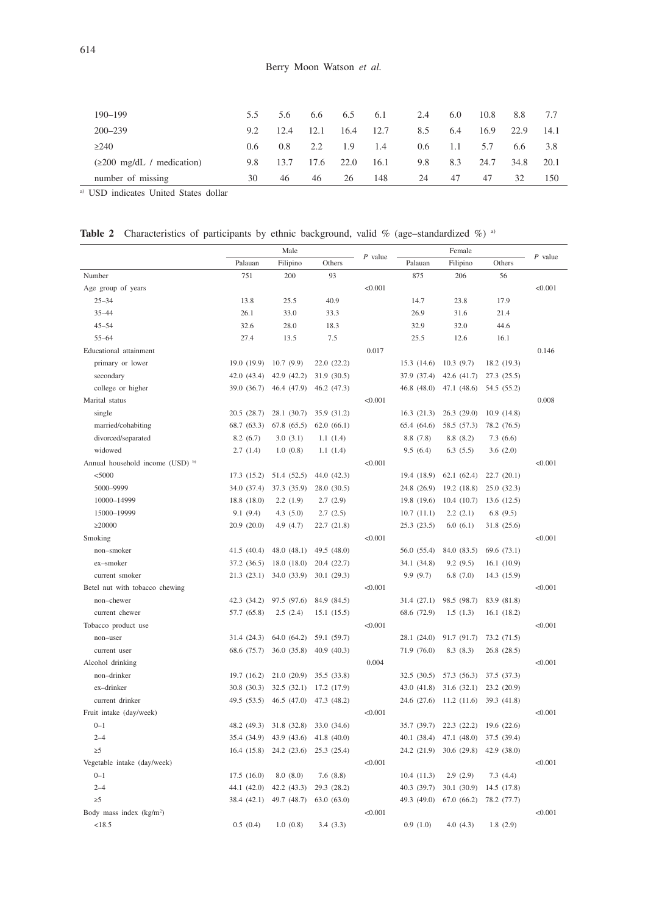| 190-199                                        | 5.5           | 5.6           | 6.6  | 6.5  | 6.1  | 2.4 | 6.0  | 10.8 | 8.8  | 7.7  |
|------------------------------------------------|---------------|---------------|------|------|------|-----|------|------|------|------|
| $200 - 239$                                    | 9.2           | 12.4          | 12.1 | 16.4 | 12.7 | 8.5 | 6.4  | 16.9 | 22.9 | 14.1 |
| >240                                           | $0.6^{\circ}$ | $0.8^{\circ}$ | 2.2  | 1.9  | 1.4  | 0.6 | -1.1 | 5.7  | 6.6  | 3.8  |
| $(\geq 200 \text{ mg/dL} / \text{medication})$ | 9.8           | 13.7          | 17.6 | 22.0 | 16.1 | 9.8 | 8.3  | 24.7 | 34.8 | 20.1 |
| number of missing                              | 30            | 46            | 46   | 26   | 148  | 24  | 47   | 47   | 32   | 150  |

a) USD indicates United States dollar

|  |  |  |  |  |  |  |  | <b>Table 2</b> Characteristics of participants by ethnic background, valid % (age–standardized %) <sup>a</sup> |  |  |
|--|--|--|--|--|--|--|--|----------------------------------------------------------------------------------------------------------------|--|--|
|--|--|--|--|--|--|--|--|----------------------------------------------------------------------------------------------------------------|--|--|

|                                  |             | Male        |             | $P$ value |             | $P$ value   |             |         |
|----------------------------------|-------------|-------------|-------------|-----------|-------------|-------------|-------------|---------|
|                                  | Palauan     | Filipino    | Others      |           | Palauan     | Filipino    | Others      |         |
| Number                           | 751         | 200         | 93          |           | 875         | 206         | 56          |         |
| Age group of years               |             |             |             | < 0.001   |             |             |             | < 0.001 |
| $25 - 34$                        | 13.8        | 25.5        | 40.9        |           | 14.7        | 23.8        | 17.9        |         |
| $35 - 44$                        | 26.1        | 33.0        | 33.3        |           | 26.9        | 31.6        | 21.4        |         |
| $45 - 54$                        | 32.6        | 28.0        | 18.3        |           | 32.9        | 32.0        | 44.6        |         |
| $55 - 64$                        | 27.4        | 13.5        | 7.5         |           | 25.5        | 12.6        | 16.1        |         |
| Educational attainment           |             |             |             | 0.017     |             |             |             | 0.146   |
| primary or lower                 | 19.0 (19.9) | 10.7(9.9)   | 22.0(22.2)  |           | 15.3 (14.6) | 10.3(9.7)   | 18.2 (19.3) |         |
| secondary                        | 42.0 (43.4) | 42.9 (42.2) | 31.9 (30.5) |           | 37.9 (37.4) | 42.6 (41.7) | 27.3 (25.5) |         |
| college or higher                | 39.0 (36.7) | 46.4 (47.9) | 46.2 (47.3) |           | 46.8 (48.0) | 47.1 (48.6) | 54.5 (55.2) |         |
| Marital status                   |             |             |             | < 0.001   |             |             |             | 0.008   |
| single                           | 20.5(28.7)  | 28.1 (30.7) | 35.9 (31.2) |           | 16.3(21.3)  | 26.3(29.0)  | 10.9(14.8)  |         |
| married/cohabiting               | 68.7 (63.3) | 67.8 (65.5) | 62.0(66.1)  |           | 65.4 (64.6) | 58.5 (57.3) | 78.2 (76.5) |         |
| divorced/separated               | 8.2(6.7)    | 3.0(3.1)    | 1.1(1.4)    |           | 8.8(7.8)    | 8.8(8.2)    | 7.3(6.6)    |         |
| widowed                          | 2.7(1.4)    | 1.0(0.8)    | 1.1(1.4)    |           | 9.5(6.4)    | 6.3(5.5)    | 3.6(2.0)    |         |
| Annual household income (USD) b) |             |             |             | < 0.001   |             |             |             | < 0.001 |
| $<$ 5000                         | 17.3 (15.2) | 51.4 (52.5) | 44.0 (42.3) |           | 19.4 (18.9) | 62.1(62.4)  | 22.7(20.1)  |         |
| 5000-9999                        | 34.0 (37.4) | 37.3 (35.9) | 28.0 (30.5) |           | 24.8 (26.9) | 19.2 (18.8) | 25.0(32.3)  |         |
| 10000-14999                      | 18.8 (18.0) | 2.2(1.9)    | 2.7(2.9)    |           | 19.8 (19.6) | 10.4(10.7)  | 13.6(12.5)  |         |
| 15000-19999                      | 9.1(9.4)    | 4.3(5.0)    | 2.7(2.5)    |           | 10.7(11.1)  | 2.2(2.1)    | 6.8(9.5)    |         |
| $\geq$ 20000                     | 20.9 (20.0) | 4.9 (4.7)   | 22.7(21.8)  |           | 25.3(23.5)  | 6.0(6.1)    | 31.8 (25.6) |         |
| Smoking                          |             |             |             | < 0.001   |             |             |             | < 0.001 |
| non-smoker                       | 41.5(40.4)  | 48.0(48.1)  | 49.5 (48.0) |           | 56.0 (55.4) | 84.0 (83.5) | 69.6 (73.1) |         |
| ex-smoker                        | 37.2 (36.5) | 18.0 (18.0) | 20.4 (22.7) |           | 34.1 (34.8) | 9.2(9.5)    | 16.1(10.9)  |         |
| current smoker                   | 21.3(23.1)  | 34.0 (33.9) | 30.1(29.3)  |           | 9.9(9.7)    | 6.8(7.0)    | 14.3 (15.9) |         |
| Betel nut with tobacco chewing   |             |             |             | < 0.001   |             |             |             | < 0.001 |
| non-chewer                       | 42.3 (34.2) | 97.5 (97.6) | 84.9 (84.5) |           | 31.4(27.1)  | 98.5 (98.7) | 83.9 (81.8) |         |
| current chewer                   | 57.7 (65.8) | 2.5(2.4)    | 15.1(15.5)  |           | 68.6 (72.9) | 1.5(1.3)    | 16.1(18.2)  |         |
| Tobacco product use              |             |             |             | < 0.001   |             |             |             | < 0.001 |
| non-user                         | 31.4 (24.3) | 64.0 (64.2) | 59.1 (59.7) |           | 28.1 (24.0) | 91.7 (91.7) | 73.2 (71.5) |         |
| current user                     | 68.6 (75.7) | 36.0 (35.8) | 40.9(40.3)  |           | 71.9 (76.0) | 8.3(8.3)    | 26.8(28.5)  |         |
| Alcohol drinking                 |             |             |             | 0.004     |             |             |             | < 0.001 |
| non-drinker                      | 19.7 (16.2) | 21.0(20.9)  | 35.5 (33.8) |           | 32.5(30.5)  | 57.3 (56.3) | 37.5 (37.3) |         |
| ex-drinker                       | 30.8 (30.3) | 32.5 (32.1) | 17.2 (17.9) |           | 43.0 (41.8) | 31.6(32.1)  | 23.2 (20.9) |         |
| current drinker                  | 49.5 (53.5) | 46.5(47.0)  | 47.3 (48.2) |           | 24.6 (27.6) | 11.2(11.6)  | 39.3 (41.8) |         |
| Fruit intake (day/week)          |             |             |             | < 0.001   |             |             |             | < 0.001 |
| $0 - 1$                          | 48.2 (49.3) | 31.8 (32.8) | 33.0 (34.6) |           | 35.7 (39.7) | 22.3 (22.2) | 19.6(22.6)  |         |
| $2 - 4$                          | 35.4 (34.9) | 43.9 (43.6) | 41.8(40.0)  |           | 40.1 (38.4) | 47.1 (48.0) | 37.5 (39.4) |         |
| $\geq 5$                         | 16.4(15.8)  | 24.2 (23.6) | 25.3 (25.4) |           | 24.2 (21.9) | 30.6(29.8)  | 42.9 (38.0) |         |
| Vegetable intake (day/week)      |             |             |             | < 0.001   |             |             |             | < 0.001 |
| $0 - 1$                          | 17.5(16.0)  | 8.0(8.0)    | 7.6(8.8)    |           | 10.4(11.3)  | 2.9(2.9)    | 7.3(4.4)    |         |
| $2 - 4$                          | 44.1 (42.0) | 42.2 (43.3) | 29.3 (28.2) |           | 40.3 (39.7) | 30.1(30.9)  | 14.5 (17.8) |         |
| $\geq$ 5                         | 38.4 (42.1) | 49.7 (48.7) | 63.0(63.0)  |           | 49.3 (49.0) | 67.0 (66.2) | 78.2 (77.7) |         |
| Body mass index $(kg/m2)$        |             |             |             | < 0.001   |             |             |             | < 0.001 |
|                                  |             |             |             |           |             |             |             |         |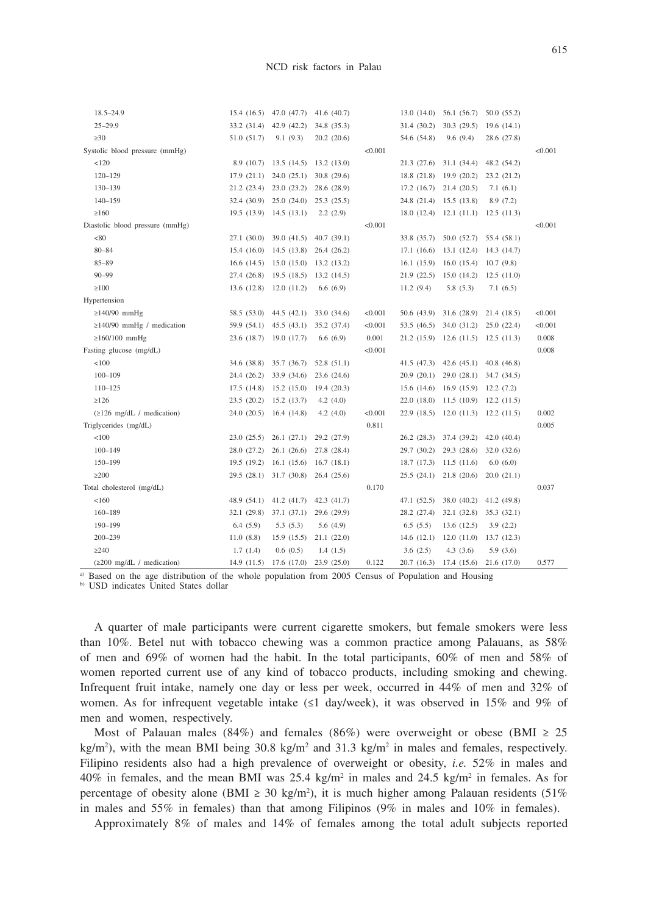| $18.5 - 24.9$                                  | 15.4(16.5)  | 47.0 (47.7)                     | 41.6(40.7)  |         | 13.0(14.0)  | 56.1 (56.7)                     | 50.0 (55.2) |         |
|------------------------------------------------|-------------|---------------------------------|-------------|---------|-------------|---------------------------------|-------------|---------|
| $25 - 29.9$                                    | 33.2 (31.4) | 42.9 (42.2)                     | 34.8 (35.3) |         | 31.4 (30.2) | 30.3(29.5)                      | 19.6(14.1)  |         |
| $\geq 30$                                      | 51.0 (51.7) | 9.1(9.3)                        | 20.2 (20.6) |         | 54.6 (54.8) | 9.6(9.4)                        | 28.6 (27.8) |         |
| Systolic blood pressure (mmHg)                 |             |                                 |             | < 0.001 |             |                                 |             | < 0.001 |
| < 120                                          |             | 8.9 (10.7) 13.5 (14.5)          | 13.2(13.0)  |         |             | 21.3 (27.6) 31.1 (34.4)         | 48.2 (54.2) |         |
| $120 - 129$                                    |             | $17.9(21.1)$ $24.0(25.1)$       | 30.8(29.6)  |         |             | 18.8 (21.8) 19.9 (20.2)         | 23.2 (21.2) |         |
| 130-139                                        |             | 21.2 (23.4) 23.0 (23.2)         | 28.6 (28.9) |         |             | $17.2$ $(16.7)$ $21.4$ $(20.5)$ | 7.1(6.1)    |         |
| $140 - 159$                                    |             | 32.4 (30.9) 25.0 (24.0)         | 25.3(25.5)  |         |             | 24.8 (21.4) 15.5 (13.8)         | 8.9(7.2)    |         |
| $\geq$ 160                                     |             | 19.5 (13.9) 14.5 (13.1)         | 2.2(2.9)    |         |             | $18.0(12.4)$ 12.1 $(11.1)$      | 12.5(11.3)  |         |
| Diastolic blood pressure (mmHg)                |             |                                 |             | < 0.001 |             |                                 |             | < 0.001 |
| < 80                                           | 27.1(30.0)  | 39.0(41.5)                      | 40.7(39.1)  |         | 33.8 (35.7) | 50.0 (52.7)                     | 55.4 (58.1) |         |
| $80 - 84$                                      | 15.4(16.0)  | 14.5(13.8)                      | 26.4(26.2)  |         |             | 17.1 (16.6) 13.1 (12.4)         | 14.3 (14.7) |         |
| $85 - 89$                                      |             | $16.6$ $(14.5)$ $15.0$ $(15.0)$ | 13.2(13.2)  |         |             | 16.1(15.9)16.0(15.4)            | 10.7(9.8)   |         |
| $90 - 99$                                      | 27.4 (26.8) | 19.5(18.5)                      | 13.2(14.5)  |         |             | 21.9 (22.5) 15.0 (14.2)         | 12.5(11.0)  |         |
| $\geq$ 100                                     | 13.6(12.8)  | 12.0(11.2)                      | 6.6(6.9)    |         | 11.2(9.4)   | 5.8(5.3)                        | 7.1(6.5)    |         |
| Hypertension                                   |             |                                 |             |         |             |                                 |             |         |
| $\geq$ 140/90 mmHg                             | 58.5 (53.0) | 44.5(42.1)                      | 33.0 (34.6) | < 0.001 |             | 50.6 (43.9) 31.6 (28.9)         | 21.4 (18.5) | < 0.001 |
| $\geq$ 140/90 mmHg / medication                | 59.9 (54.1) | 45.5(43.1)                      | 35.2 (37.4) | < 0.001 | 53.5(46.5)  | 34.0 (31.2)                     | 25.0 (22.4) | < 0.001 |
| $\geq 160/100$ mmHg                            | 23.6 (18.7) | 19.0 (17.7)                     | 6.6(6.9)    | 0.001   |             | $21.2$ (15.9) 12.6 (11.5)       | 12.5(11.3)  | 0.008   |
| Fasting glucose (mg/dL)                        |             |                                 |             | < 0.001 |             |                                 |             | 0.008   |
| < 100                                          | 34.6 (38.8) | 35.7 (36.7)                     | 52.8(51.1)  |         |             | $41.5(47.3)$ $42.6(45.1)$       | 40.8(46.8)  |         |
| $100 - 109$                                    | 24.4 (26.2) | 33.9 (34.6)                     | 23.6(24.6)  |         | 20.9(20.1)  | 29.0(28.1)                      | 34.7 (34.5) |         |
| $110 - 125$                                    | 17.5(14.8)  | 15.2(15.0)                      | 19.4(20.3)  |         |             | 15.6 (14.6) 16.9 (15.9)         | 12.2(7.2)   |         |
| >126                                           | 23.5(20.2)  | 15.2(13.7)                      | 4.2(4.0)    |         | 22.0(18.0)  | 11.5(10.9)                      | 12.2(11.5)  |         |
| $(\geq 126 \text{ mg/dL} / \text{medication})$ | 24.0(20.5)  | 16.4(14.8)                      | 4.2(4.0)    | < 0.001 |             | 22.9 (18.5) 12.0 (11.3)         | 12.2(11.5)  | 0.002   |
| Triglycerides (mg/dL)                          |             |                                 |             | 0.811   |             |                                 |             | 0.005   |
| < 100                                          | 23.0(25.5)  | 26.1(27.1)                      | 29.2 (27.9) |         |             | 26.2 (28.3) 37.4 (39.2)         | 42.0(40.4)  |         |
| $100 - 149$                                    | 28.0 (27.2) | 26.1(26.6)                      | 27.8 (28.4) |         |             | 29.7 (30.2) 29.3 (28.6)         | 32.0 (32.6) |         |
| 150-199                                        | 19.5(19.2)  | 16.1(15.6)                      | 16.7(18.1)  |         |             | 18.7 (17.3) 11.5 (11.6)         | 6.0(6.0)    |         |
| $\geq$ 200                                     | 29.5(28.1)  | 31.7(30.8)                      | 26.4(25.6)  |         |             | 25.5 (24.1) 21.8 (20.6)         | 20.0(21.1)  |         |
| Total cholesterol (mg/dL)                      |             |                                 |             | 0.170   |             |                                 |             | 0.037   |
| < 160                                          | 48.9 (54.1) | 41.2(41.7)                      | 42.3(41.7)  |         |             | 47.1 (52.5) 38.0 (40.2)         | 41.2 (49.8) |         |
| 160-189                                        | 32.1(29.8)  | 37.1(37.1)                      | 29.6 (29.9) |         |             | 28.2 (27.4) 32.1 (32.8)         | 35.3 (32.1) |         |
| 190-199                                        | 6.4(5.9)    | 5.3(5.3)                        | 5.6(4.9)    |         | 6.5(5.5)    | 13.6(12.5)                      | 3.9(2.2)    |         |
| 200-239                                        | 11.0(8.8)   | 15.9(15.5)                      | 21.1(22.0)  |         | 14.6(12.1)  | 12.0(11.0)                      | 13.7(12.3)  |         |
| $\geq$ 240                                     | 1.7(1.4)    | 0.6(0.5)                        | 1.4(1.5)    |         | 3.6(2.5)    | 4.3(3.6)                        | 5.9(3.6)    |         |
| $(\geq 200 \text{ mg/dL} / \text{medication})$ | 14.9 (11.5) | 17.6(17.0)                      | 23.9(25.0)  | 0.122   | 20.7 (16.3) | 17.4(15.6)                      | 21.6 (17.0) | 0.577   |

a) Based on the age distribution of the whole population from 2005 Census of Population and Housing

b) USD indicates United States dollar

A quarter of male participants were current cigarette smokers, but female smokers were less than 10%. Betel nut with tobacco chewing was a common practice among Palauans, as 58% of men and 69% of women had the habit. In the total participants, 60% of men and 58% of women reported current use of any kind of tobacco products, including smoking and chewing. Infrequent fruit intake, namely one day or less per week, occurred in 44% of men and 32% of women. As for infrequent vegetable intake  $(≤1 \text{ day/week})$ , it was observed in 15% and 9% of men and women, respectively.

Most of Palauan males (84%) and females (86%) were overweight or obese (BMI  $\geq 25$  $\text{kg/m}^2$ ), with the mean BMI being 30.8 kg/m<sup>2</sup> and 31.3 kg/m<sup>2</sup> in males and females, respectively. Filipino residents also had a high prevalence of overweight or obesity, *i.e.* 52% in males and 40% in females, and the mean BMI was 25.4 kg/m<sup>2</sup> in males and 24.5 kg/m<sup>2</sup> in females. As for percentage of obesity alone (BMI  $\geq$  30 kg/m<sup>2</sup>), it is much higher among Palauan residents (51%) in males and 55% in females) than that among Filipinos (9% in males and 10% in females).

Approximately 8% of males and 14% of females among the total adult subjects reported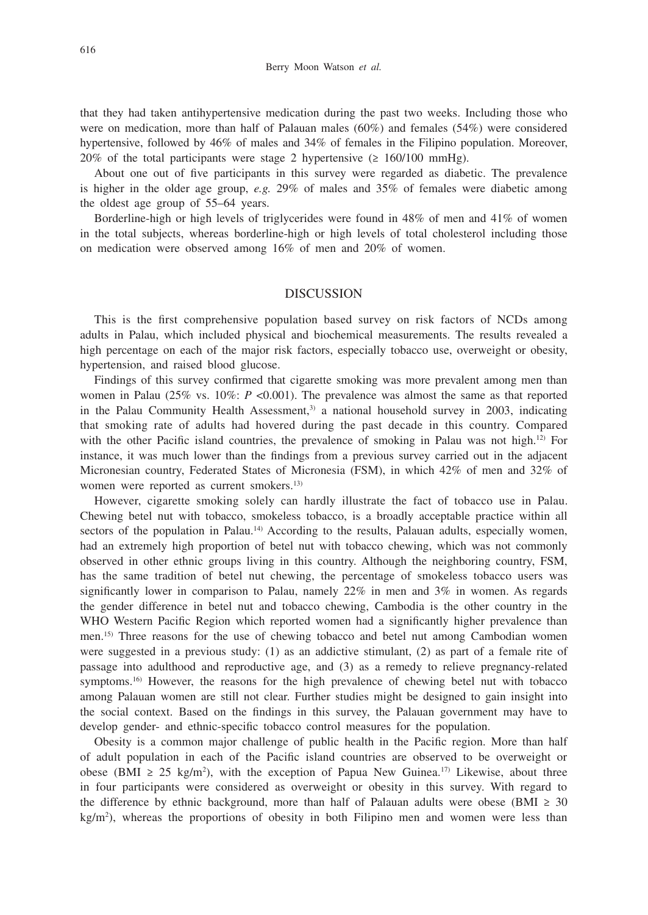that they had taken antihypertensive medication during the past two weeks. Including those who were on medication, more than half of Palauan males (60%) and females (54%) were considered hypertensive, followed by 46% of males and 34% of females in the Filipino population. Moreover, 20% of the total participants were stage 2 hypertensive  $(2\ 160/100\ mmHg)$ .

About one out of five participants in this survey were regarded as diabetic. The prevalence is higher in the older age group, *e.g.* 29% of males and 35% of females were diabetic among the oldest age group of 55–64 years.

Borderline-high or high levels of triglycerides were found in 48% of men and 41% of women in the total subjects, whereas borderline-high or high levels of total cholesterol including those on medication were observed among 16% of men and 20% of women.

#### DISCUSSION

This is the first comprehensive population based survey on risk factors of NCDs among adults in Palau, which included physical and biochemical measurements. The results revealed a high percentage on each of the major risk factors, especially tobacco use, overweight or obesity, hypertension, and raised blood glucose.

Findings of this survey confirmed that cigarette smoking was more prevalent among men than women in Palau (25% vs. 10%: *P* <0.001). The prevalence was almost the same as that reported in the Palau Community Health Assessment, $3$  a national household survey in 2003, indicating that smoking rate of adults had hovered during the past decade in this country. Compared with the other Pacific island countries, the prevalence of smoking in Palau was not high.<sup>12)</sup> For instance, it was much lower than the findings from a previous survey carried out in the adjacent Micronesian country, Federated States of Micronesia (FSM), in which 42% of men and 32% of women were reported as current smokers.<sup>13)</sup>

However, cigarette smoking solely can hardly illustrate the fact of tobacco use in Palau. Chewing betel nut with tobacco, smokeless tobacco, is a broadly acceptable practice within all sectors of the population in Palau.<sup>14)</sup> According to the results, Palauan adults, especially women, had an extremely high proportion of betel nut with tobacco chewing, which was not commonly observed in other ethnic groups living in this country. Although the neighboring country, FSM, has the same tradition of betel nut chewing, the percentage of smokeless tobacco users was significantly lower in comparison to Palau, namely 22% in men and 3% in women. As regards the gender difference in betel nut and tobacco chewing, Cambodia is the other country in the WHO Western Pacific Region which reported women had a significantly higher prevalence than men.15) Three reasons for the use of chewing tobacco and betel nut among Cambodian women were suggested in a previous study: (1) as an addictive stimulant, (2) as part of a female rite of passage into adulthood and reproductive age, and (3) as a remedy to relieve pregnancy-related symptoms.<sup>16)</sup> However, the reasons for the high prevalence of chewing betel nut with tobacco among Palauan women are still not clear. Further studies might be designed to gain insight into the social context. Based on the findings in this survey, the Palauan government may have to develop gender- and ethnic-specific tobacco control measures for the population.

Obesity is a common major challenge of public health in the Pacific region. More than half of adult population in each of the Pacific island countries are observed to be overweight or obese (BMI ≥ 25 kg/m<sup>2</sup>), with the exception of Papua New Guinea.<sup>17)</sup> Likewise, about three in four participants were considered as overweight or obesity in this survey. With regard to the difference by ethnic background, more than half of Palauan adults were obese (BMI  $\geq$  30  $kg/m<sup>2</sup>$ ), whereas the proportions of obesity in both Filipino men and women were less than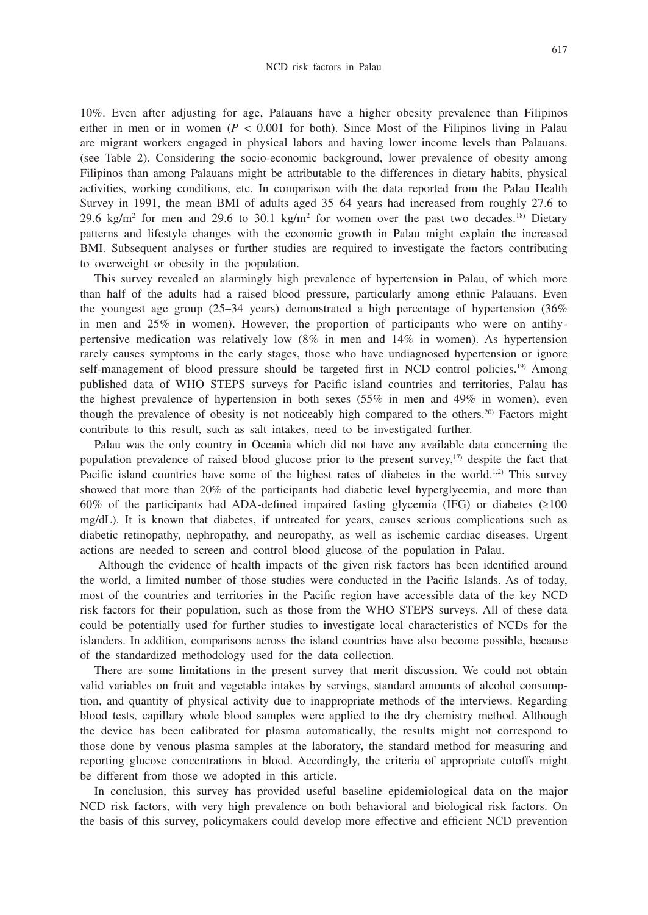10%. Even after adjusting for age, Palauans have a higher obesity prevalence than Filipinos either in men or in women  $(P < 0.001$  for both). Since Most of the Filipinos living in Palau are migrant workers engaged in physical labors and having lower income levels than Palauans. (see Table 2). Considering the socio-economic background, lower prevalence of obesity among Filipinos than among Palauans might be attributable to the differences in dietary habits, physical activities, working conditions, etc. In comparison with the data reported from the Palau Health Survey in 1991, the mean BMI of adults aged 35–64 years had increased from roughly 27.6 to 29.6 kg/m<sup>2</sup> for men and 29.6 to 30.1 kg/m<sup>2</sup> for women over the past two decades.<sup>18</sup> Dietary patterns and lifestyle changes with the economic growth in Palau might explain the increased BMI. Subsequent analyses or further studies are required to investigate the factors contributing to overweight or obesity in the population.

This survey revealed an alarmingly high prevalence of hypertension in Palau, of which more than half of the adults had a raised blood pressure, particularly among ethnic Palauans. Even the youngest age group (25–34 years) demonstrated a high percentage of hypertension (36% in men and 25% in women). However, the proportion of participants who were on antihypertensive medication was relatively low (8% in men and 14% in women). As hypertension rarely causes symptoms in the early stages, those who have undiagnosed hypertension or ignore self-management of blood pressure should be targeted first in NCD control policies.<sup>19)</sup> Among published data of WHO STEPS surveys for Pacific island countries and territories, Palau has the highest prevalence of hypertension in both sexes (55% in men and 49% in women), even though the prevalence of obesity is not noticeably high compared to the others.20) Factors might contribute to this result, such as salt intakes, need to be investigated further.

Palau was the only country in Oceania which did not have any available data concerning the population prevalence of raised blood glucose prior to the present survey, $17$  despite the fact that Pacific island countries have some of the highest rates of diabetes in the world.<sup>1,2)</sup> This survey showed that more than 20% of the participants had diabetic level hyperglycemia, and more than 60% of the participants had ADA-defined impaired fasting glycemia (IFG) or diabetes (≥100 mg/dL). It is known that diabetes, if untreated for years, causes serious complications such as diabetic retinopathy, nephropathy, and neuropathy, as well as ischemic cardiac diseases. Urgent actions are needed to screen and control blood glucose of the population in Palau.

 Although the evidence of health impacts of the given risk factors has been identified around the world, a limited number of those studies were conducted in the Pacific Islands. As of today, most of the countries and territories in the Pacific region have accessible data of the key NCD risk factors for their population, such as those from the WHO STEPS surveys. All of these data could be potentially used for further studies to investigate local characteristics of NCDs for the islanders. In addition, comparisons across the island countries have also become possible, because of the standardized methodology used for the data collection.

There are some limitations in the present survey that merit discussion. We could not obtain valid variables on fruit and vegetable intakes by servings, standard amounts of alcohol consumption, and quantity of physical activity due to inappropriate methods of the interviews. Regarding blood tests, capillary whole blood samples were applied to the dry chemistry method. Although the device has been calibrated for plasma automatically, the results might not correspond to those done by venous plasma samples at the laboratory, the standard method for measuring and reporting glucose concentrations in blood. Accordingly, the criteria of appropriate cutoffs might be different from those we adopted in this article.

In conclusion, this survey has provided useful baseline epidemiological data on the major NCD risk factors, with very high prevalence on both behavioral and biological risk factors. On the basis of this survey, policymakers could develop more effective and efficient NCD prevention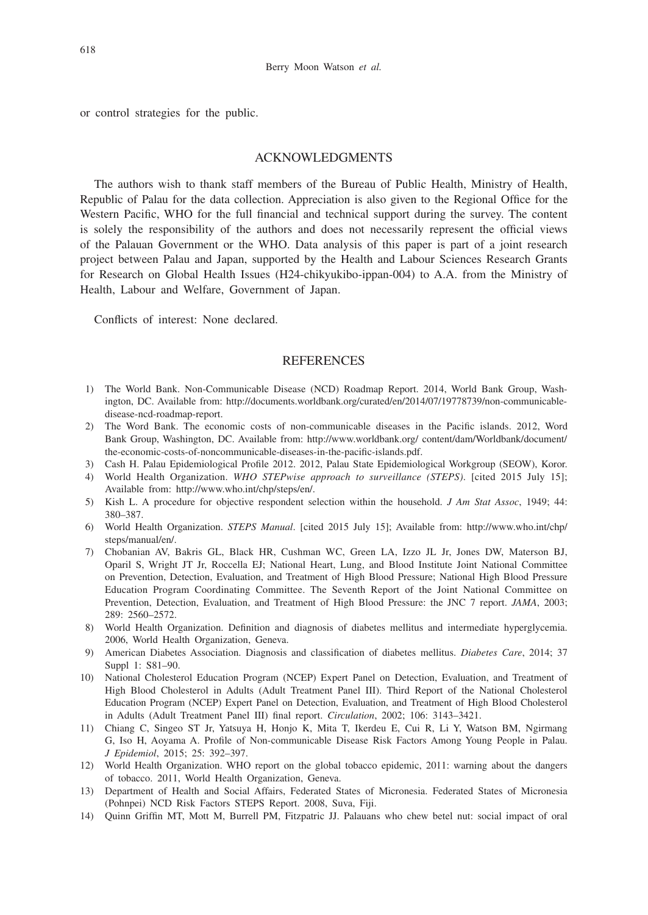or control strategies for the public.

#### ACKNOWLEDGMENTS

The authors wish to thank staff members of the Bureau of Public Health, Ministry of Health, Republic of Palau for the data collection. Appreciation is also given to the Regional Office for the Western Pacific, WHO for the full financial and technical support during the survey. The content is solely the responsibility of the authors and does not necessarily represent the official views of the Palauan Government or the WHO. Data analysis of this paper is part of a joint research project between Palau and Japan, supported by the Health and Labour Sciences Research Grants for Research on Global Health Issues (H24-chikyukibo-ippan-004) to A.A. from the Ministry of Health, Labour and Welfare, Government of Japan.

Conflicts of interest: None declared.

#### **REFERENCES**

- 1) The World Bank. Non-Communicable Disease (NCD) Roadmap Report. 2014, World Bank Group, Washington, DC. Available from: http://documents.worldbank.org/curated/en/2014/07/19778739/non-communicabledisease-ncd-roadmap-report.
- 2) The Word Bank. The economic costs of non-communicable diseases in the Pacific islands. 2012, Word Bank Group, Washington, DC. Available from: http://www.worldbank.org/ content/dam/Worldbank/document/ the-economic-costs-of-noncommunicable-diseases-in-the-pacific-islands.pdf.
- 3) Cash H. Palau Epidemiological Profile 2012. 2012, Palau State Epidemiological Workgroup (SEOW), Koror.
- 4) World Health Organization. *WHO STEPwise approach to surveillance (STEPS)*. [cited 2015 July 15]; Available from: http://www.who.int/chp/steps/en/.
- 5) Kish L. A procedure for objective respondent selection within the household. *J Am Stat Assoc*, 1949; 44: 380–387.
- 6) World Health Organization. *STEPS Manual*. [cited 2015 July 15]; Available from: http://www.who.int/chp/ steps/manual/en/.
- 7) Chobanian AV, Bakris GL, Black HR, Cushman WC, Green LA, Izzo JL Jr, Jones DW, Materson BJ, Oparil S, Wright JT Jr, Roccella EJ; National Heart, Lung, and Blood Institute Joint National Committee on Prevention, Detection, Evaluation, and Treatment of High Blood Pressure; National High Blood Pressure Education Program Coordinating Committee. The Seventh Report of the Joint National Committee on Prevention, Detection, Evaluation, and Treatment of High Blood Pressure: the JNC 7 report. *JAMA*, 2003; 289: 2560–2572.
- 8) World Health Organization. Definition and diagnosis of diabetes mellitus and intermediate hyperglycemia. 2006, World Health Organization, Geneva.
- 9) American Diabetes Association. Diagnosis and classification of diabetes mellitus. *Diabetes Care*, 2014; 37 Suppl 1: S81–90.
- 10) National Cholesterol Education Program (NCEP) Expert Panel on Detection, Evaluation, and Treatment of High Blood Cholesterol in Adults (Adult Treatment Panel III). Third Report of the National Cholesterol Education Program (NCEP) Expert Panel on Detection, Evaluation, and Treatment of High Blood Cholesterol in Adults (Adult Treatment Panel III) final report. *Circulation*, 2002; 106: 3143–3421.
- 11) Chiang C, Singeo ST Jr, Yatsuya H, Honjo K, Mita T, Ikerdeu E, Cui R, Li Y, Watson BM, Ngirmang G, Iso H, Aoyama A. Profile of Non-communicable Disease Risk Factors Among Young People in Palau. *J Epidemiol*, 2015; 25: 392–397.
- 12) World Health Organization. WHO report on the global tobacco epidemic, 2011: warning about the dangers of tobacco. 2011, World Health Organization, Geneva.
- 13) Department of Health and Social Affairs, Federated States of Micronesia. Federated States of Micronesia (Pohnpei) NCD Risk Factors STEPS Report. 2008, Suva, Fiji.
- 14) Quinn Griffin MT, Mott M, Burrell PM, Fitzpatric JJ. Palauans who chew betel nut: social impact of oral